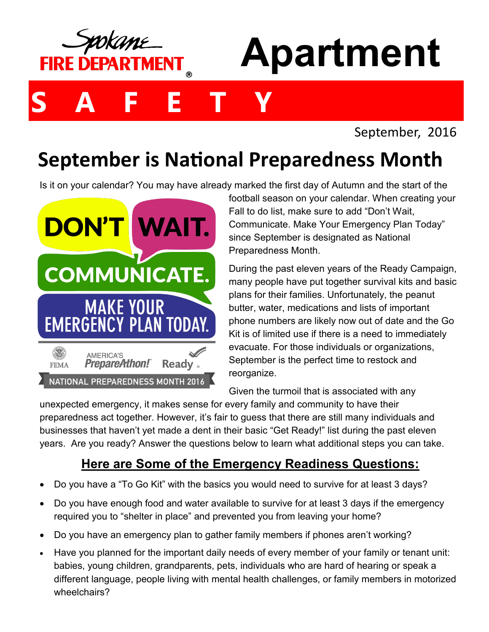

# **Apartment**

## **S A F E T Y**

September, 2016

## **September is National Preparedness Month**

Is it on your calendar? You may have already marked the first day of Autumn and the start of the



football season on your calendar. When creating your Fall to do list, make sure to add "Don't Wait, Communicate. Make Your Emergency Plan Today" since September is designated as National Preparedness Month.

During the past eleven years of the Ready Campaign, many people have put together survival kits and basic plans for their families. Unfortunately, the peanut butter, water, medications and lists of important phone numbers are likely now out of date and the Go Kit is of limited use if there is a need to immediately evacuate. For those individuals or organizations, September is the perfect time to restock and reorganize.

Given the turmoil that is associated with any

unexpected emergency, it makes sense for every family and community to have their preparedness act together. However, it's fair to guess that there are still many individuals and businesses that haven't yet made a dent in their basic "Get Ready!" list during the past eleven years. Are you ready? Answer the questions below to learn what additional steps you can take.

#### **Here are Some of the Emergency Readiness Questions:**

- Do you have a "To Go Kit" with the basics you would need to survive for at least 3 days?
- Do you have enough food and water available to survive for at least 3 days if the emergency required you to "shelter in place" and prevented you from leaving your home?
- Do you have an emergency plan to gather family members if phones aren't working?
- Have you planned for the important daily needs of every member of your family or tenant unit: babies, young children, grandparents, pets, individuals who are hard of hearing or speak a different language, people living with mental health challenges, or family members in motorized wheelchairs?